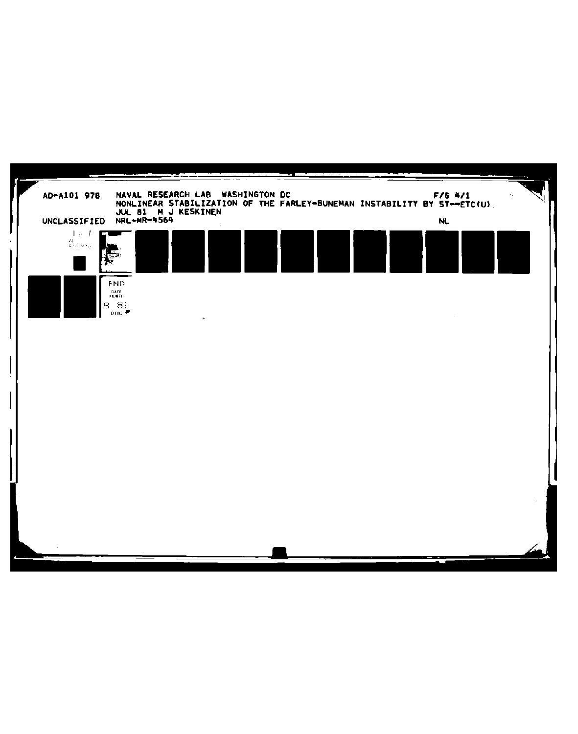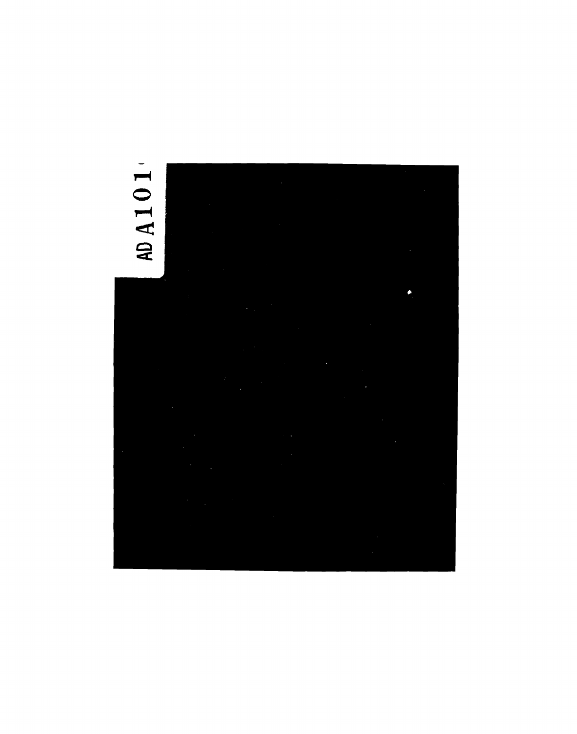## AD A 1 0 1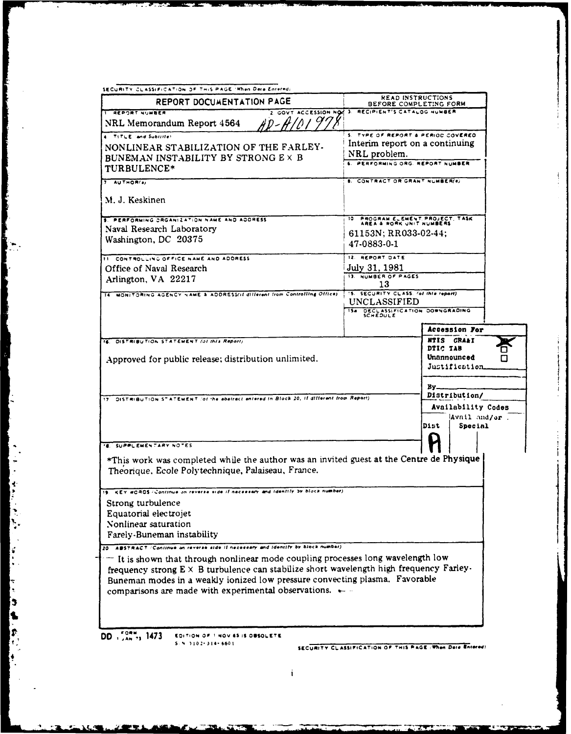| SECURITY CLASSIFICATION OF THIS PAGE 'When Deta Entered;                                                                                                                                                                                                                                                                                                                                                          |                                                                                                                          |                                              |  |
|-------------------------------------------------------------------------------------------------------------------------------------------------------------------------------------------------------------------------------------------------------------------------------------------------------------------------------------------------------------------------------------------------------------------|--------------------------------------------------------------------------------------------------------------------------|----------------------------------------------|--|
| <b>REPORT DOCUMENTATION PAGE</b>                                                                                                                                                                                                                                                                                                                                                                                  | <b>READ INSTRUCTIONS</b><br>BEFORE COMPLETING FORM                                                                       |                                              |  |
| <b>I REPORT NUMBER</b><br>, 97 Y<br>NRL Memorandum Report 4564                                                                                                                                                                                                                                                                                                                                                    | 2. GOVT ACCESSION NOG 3. RECIPIENT'S CATALOG NUMBER                                                                      |                                              |  |
| 4 TITLE and Submite!<br>NONLINEAR STABILIZATION OF THE FARLEY-<br>BUNEMAN INSTABILITY BY STRONG E X B                                                                                                                                                                                                                                                                                                             | 5. TYPE OF REPORT & PERIOD COVERED<br>Interim report on a continuing<br>NRL problem.<br>6. PERFORMING ORG. REPORT NUMBER |                                              |  |
| TURBULENCE*                                                                                                                                                                                                                                                                                                                                                                                                       |                                                                                                                          |                                              |  |
| $7$ AUTHOR(s)                                                                                                                                                                                                                                                                                                                                                                                                     | <b>B. CONTRACT OR GRANT NUMBER(e)</b>                                                                                    |                                              |  |
| M. J. Keskinen                                                                                                                                                                                                                                                                                                                                                                                                    |                                                                                                                          |                                              |  |
| <b>3. PERFORMING ORGANIZATION NAME AND ADDRESS</b><br>Naval Research Laboratory                                                                                                                                                                                                                                                                                                                                   | PROGRAM ELEMENT PROJECT, TASK<br>10.<br>AREA & WORK UNIT NUMBERS                                                         |                                              |  |
| Washington, DC 20375                                                                                                                                                                                                                                                                                                                                                                                              | 61153N; RR033-02-44;<br>47-0883-0-1                                                                                      |                                              |  |
| 11 CONTROLLING OFFICE NAME AND ADDRESS                                                                                                                                                                                                                                                                                                                                                                            | 12. REPORT DATE                                                                                                          |                                              |  |
| Office of Naval Research                                                                                                                                                                                                                                                                                                                                                                                          | July 31, 1981                                                                                                            |                                              |  |
| Arlington, VA 22217                                                                                                                                                                                                                                                                                                                                                                                               | <b>13. NUMBER OF PAGES</b><br>13                                                                                         |                                              |  |
| 14 MONITORING AGENCY VAME & ADDRESSILE dillerent from Controlling Office)                                                                                                                                                                                                                                                                                                                                         | 15. SECURITY CLASS. (of this report)<br>UNCLASSIFIED<br>15a DECLASSIFICATION DOWNGRADING                                 |                                              |  |
|                                                                                                                                                                                                                                                                                                                                                                                                                   | SCHEDULE                                                                                                                 | Accession For                                |  |
| IS DISTRIBUTION STATEMENT (at this Report)                                                                                                                                                                                                                                                                                                                                                                        |                                                                                                                          | NTIS CRA <del>A</del> I                      |  |
| Approved for public release; distribution unlimited.                                                                                                                                                                                                                                                                                                                                                              |                                                                                                                          | DTIC TAB<br>Unannounced<br>Justification     |  |
|                                                                                                                                                                                                                                                                                                                                                                                                                   |                                                                                                                          | By                                           |  |
| 17 DISTRIBUTION STATEMENT (of the abatract entered in Block 20, if different from Report)                                                                                                                                                                                                                                                                                                                         | Distribution/                                                                                                            |                                              |  |
|                                                                                                                                                                                                                                                                                                                                                                                                                   |                                                                                                                          | Availability Codes<br>$\lambda$ vnil and/or. |  |
|                                                                                                                                                                                                                                                                                                                                                                                                                   |                                                                                                                          | Special<br>Dist                              |  |
| 'S. SUPPLEMENTARY NOTES                                                                                                                                                                                                                                                                                                                                                                                           |                                                                                                                          |                                              |  |
| *This work was completed while the author was an invited guest at the Centre de Physique<br>Theorique, Ecole Polytechnique, Palaiseau, France.                                                                                                                                                                                                                                                                    |                                                                                                                          |                                              |  |
| 19. KEY WCROS (Continue on reverse side if necessary and identify by block number)                                                                                                                                                                                                                                                                                                                                |                                                                                                                          |                                              |  |
| Strong turbulence                                                                                                                                                                                                                                                                                                                                                                                                 |                                                                                                                          |                                              |  |
| Equatorial electrojet                                                                                                                                                                                                                                                                                                                                                                                             |                                                                                                                          |                                              |  |
| Nonlinear saturation                                                                                                                                                                                                                                                                                                                                                                                              |                                                                                                                          |                                              |  |
| Farely-Buneman instability                                                                                                                                                                                                                                                                                                                                                                                        |                                                                                                                          |                                              |  |
| 20 ABSTRACT (Continue on reverse side if necessary and identify by block number)<br>It is shown that through nonlinear mode coupling processes long wavelength low<br>frequency strong E × B turbulence can stabilize short wavelength high frequency Farley-<br>Buneman modes in a weakly ionized low pressure convecting plasma. Favorable<br>comparisons are made with experimental observations. $\leftarrow$ |                                                                                                                          |                                              |  |
|                                                                                                                                                                                                                                                                                                                                                                                                                   |                                                                                                                          |                                              |  |

DD . SANTY 1473 EDITION OF THOV 65 IS OBSOLETE

**SELL** ŃО. **All March 1989** 

**The Second Property of the Second Property** 

**The Company** 

 $\ddot{\phantom{1}}$ 

 $\label{eq:2.1} \mathcal{L} = \mathcal{L} \times \mathcal{L} = \mathcal{L} \times \mathcal{L} = \mathcal{L} \times \mathcal{L}$ 

 $\ddot{\phantom{1}}$ 

医心理 医假

Ŀ

**SALES** 

**ALLES** 

SECURITY CLASSIFICATION OF THIS PAGE (When Data Entered)

र कर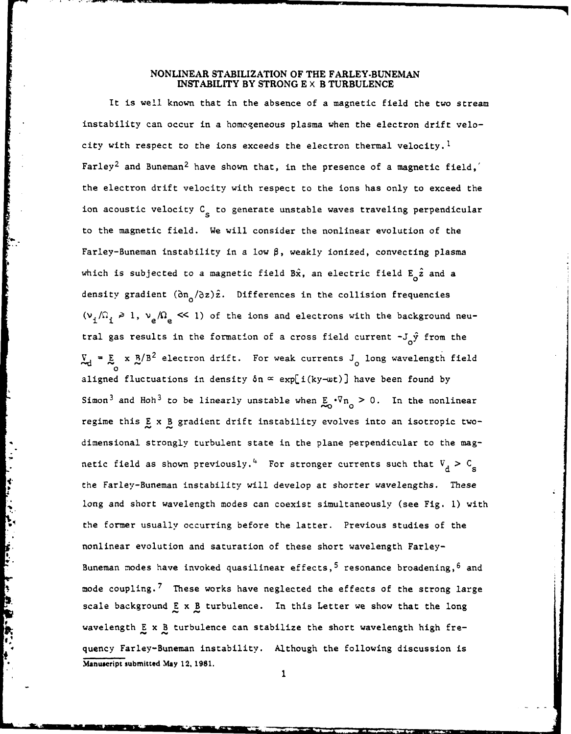## **NONLINEAR STABILIZATION OF THE FARLEY-BUNEMAN INSTABILITY BY STRONG E** X **B TURBULENCE**

It is well known that in the absence of a magnetic field the two stream instability can occur in a homogeneous plasma when the electron drift velocity with respect to the ions exceeds the electron thermal velocity.<sup>1</sup> Farley<sup>2</sup> and Buneman<sup>2</sup> have shown that, in the presence of a magnetic field, the electron drift velocity with respect to the ions has only to exceed the ion acoustic velocity C<sub>s</sub> to generate unstable waves traveling perpendicular to the magnetic field. We will consider the nonlinear evolution of the Farley-Buneman instability in a low **0,** weakly ionized, convecting plasma which is subjected to a magnetic field  $\hat{\texttt{B}\hat{\textbf{x}}}$ , an electric field  $\texttt{E}_{\texttt{O}}\hat{\textbf{z}}$  and a density gradient  $(\partial n_{\alpha}/\partial z)\hat{z}$ . Differences in the collision frequencies  $(v_1/\Omega_1 \geq 1, v_e/\Omega_e \ll 1)$  of the ions and electrons with the background neutral gas results in the formation of a cross field current  $-J_0\hat{y}$  from the  $\frac{V}{d} = \frac{E}{\infty}$  x  $\frac{R}{B^2}$  electron drift. For weak currents J<sub>o</sub> long wavelength field aligned fluctuations in density  $\delta n \propto \exp[i(ky-\omega t)]$  have been found by Simon<sup>3</sup> and Hoh<sup>3</sup> to be linearly unstable when  $E_{\rm o} \cdot v_{\rm n_{\rm o}} > 0$ . In the nonlinear regime this E x B gradient drift instability evolves into an isotropic twodimensional strongly turbulent state in the plane perpendicular to the magnetic field as shown previously.<sup>4</sup> For stronger currents such that  $V_d > C_s$ the Farley-Buneman instability will develop at shorter wavelengths. These long and short wavelength modes can coexist simultaneously (see Fig. **1)** with the former usually occurring before the latter. Previous studies of the nonlinear evolution and saturation of these short wavelength Farley-Buneman modes have invoked quasilinear effects,<sup>5</sup> resonance broadening,  $6$  and mode coupling.<sup>7</sup> These works have neglected the effects of the strong large scale background  $E \times B$  turbulence. In this Letter we show that the long wavelength E x B turbulence can stabilize the short wavelength high frequency Farley-Buneman instability. Although the following discussion is **Manuscript submitted May 12, 1981.**

Vancieri

F

Les Milles de l'

ķ.

**1**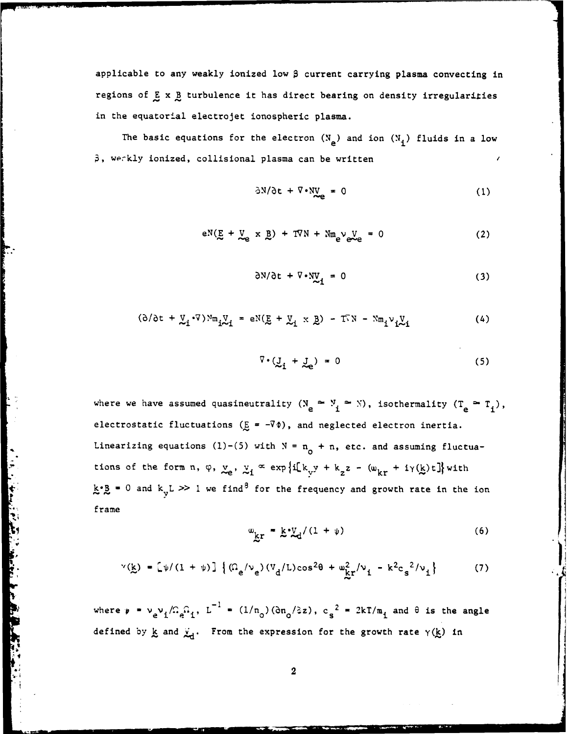applicable to any weakly ionized low  $\beta$  current carrying plasma convecting in regions of **E** x B turbulence it has direct bearing on density irregularties in the equatorial electrojet ionospheric plasma.

The basic equations for the electron  $(N_{\rho})$  and ion  $(N_{\eta})$  fluids in a low **,** werkly ionized, collisional plasma can be written

$$
\frac{\partial N}{\partial t} + \nabla \cdot N \underline{V} = 0 \tag{1}
$$

$$
e^{N}(\underline{E} + \underline{V}_{e} \times \underline{B}) + T\nabla N + Nm_{e}V_{e}V_{e} = 0
$$
 (2)

$$
\partial N/\partial t + \nabla \cdot M \underline{V}_1 = 0 \tag{3}
$$

$$
(\partial/\partial t + \underline{V}_1 \cdot \nabla) N_{m_1} \underline{V}_1 = eN(\underline{E} + \underline{V}_1 \times \underline{B}) - T \cdot N - N_{m_1} V_1 \underline{V}_1
$$
 (4)

$$
\nabla \cdot (\underline{\mathbf{J}}_i + \underline{\mathbf{J}}_i) = 0 \tag{5}
$$

where we have assumed quasineutrality  $(N_e \cong N_i \cong N)$ , isothermality  $(T_e \cong T_i)$ , electrostatic fluctuations ( $E = -\nabla \phi$ ), and neglected electron inertia. Linearizing equations (1)-(5) with  $N = n_0 + n$ , etc. and assuming fluctuations of the form n,  $\varphi$ ,  $\chi_e$ ,  $\chi_1 \propto \exp{\{i[k_x y + k_z z - (\omega_{kr} + i\gamma(k)t]\}}$  with  $k.8 = 0$  and  $k_v L \gg 1$  we find<sup>8</sup> for the frequency and growth rate in the ion frame

$$
\omega_{\text{kr}} = k \cdot \mathcal{L}_d / (1 + \psi) \tag{6}
$$

$$
v(\underline{k}) = \left[ \psi/(1 + \psi) \right] \left\{ (\Omega_e/v_e) (v_d/L) \cos^2\theta + \omega_{\underline{k}r}^2/v_i - k^2 c_s^2/v_i \right\}
$$
 (7)

where  $\nu = v_e v_i / \Omega_e \Omega_i$ ,  $L^{-1} = (1/n_o)(\partial n_o/\partial z)$ ,  $c_s^2 = 2kT/m_i$  and  $\theta$  is the angle defined by  $k$  and  $\ddot{x}_d$ . From the expression for the growth rate  $\gamma(k)$  in

**4'**

in the contract of  $2$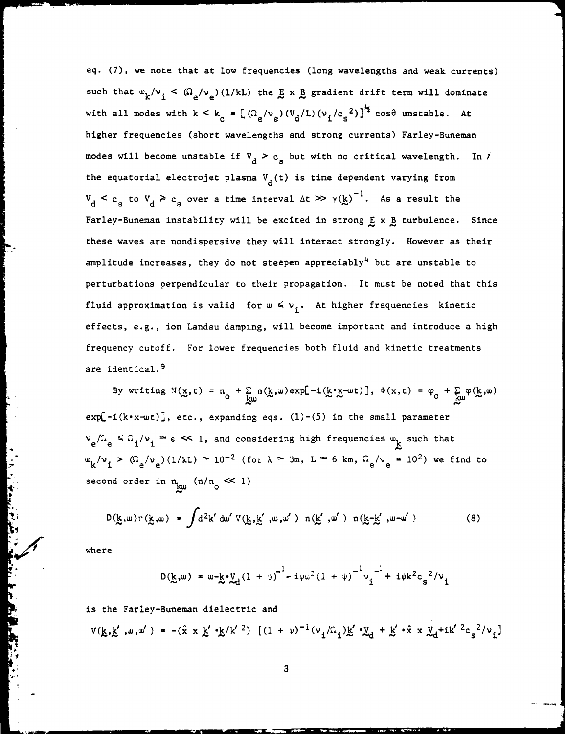eq. (7), we note that at low frequencies (long wavelengths and weak currents) such that  $w_k/v_i \leq (\Omega_{\alpha}/v_{\alpha})(1/kL)$  the  $E \times B$  gradient drift term will dominate with all modes with  $k < k_c = \left[\left(\Omega_e/v_e\right)(v_d/L)(v_i/c_s^2)\right]^2$  cos $\theta$  unstable. At higher frequencies (short wavelengths and strong currents) Farley-Buneman modes will become unstable if  $V_d > c_s$  but with no critical wavelength. In / the equatorial electrojet plasma  $V_d(t)$  is time dependent varying from  $V_d < c_s$  to  $V_d \ge c_s$  over a time interval  $\Delta t \gg \gamma(k)^{-1}$ . As a result the Farley-Buneman instability will be excited in strong  $E \times B$  turbulence. Since these waves are nondispersive they will interact strongly. However as their amplitude increases, they do not steepen appreciably<sup>4</sup> but are unstable to perturbations perpendicular to their propagation. It must be noted that this fluid approximation is valid for  $w \le v_i$ . At higher frequencies kinetic effects, e.g., ion Landau damping, will become important and introduce a high frequency cutoff. For lower frequencies both fluid and kinetic treatments are identical.<sup>9</sup>

By writing  $N(x,t) = n_0 + \sum_{k,m} n(k,w)exp[-i(k*x-wt)], \phi(x,t) = \phi_0 + \sum_{k,m} \phi(k,w)$  $exp[-i(k*x-wt)]$ , etc., expanding eqs.  $(1)-(5)$  in the small parameter  $V_e/\Omega_e \leq \Omega_i/v_i \approx \varepsilon \ll 1$ , and considering high frequencies  $\omega_k$  such that  $w_{k}/v_{i}$  >  $(\Omega_{e}/v_{e})$ (1/kL)  $\approx$  10<sup>-2</sup> (for  $\lambda \approx 3$ m, L  $\approx$  6 km,  $\Omega_{e}/v_{e}$  = 10<sup>2</sup>) we find to second order in  $n_{\text{cm}}$  ( $n/n_{\text{o}} \ll 1$ )

$$
D(\underline{k},\omega) \cdot D(\underline{k},\omega) = \int d^2k' \, d\omega' \, V(\underline{k},\underline{k}',\omega,\omega') \cdot D(\underline{k}',\omega') \cdot D(\underline{k}-\underline{k}',\omega-\omega')
$$
 (8)

where

という せんかんかん

**Controller States** 

$$
D(\underline{k},\omega) = \omega - \underline{k} \cdot \underline{V}_d (1 + \psi)^{-1} - i \psi \omega^2 (1 + \psi)^{-1} \nu_i^{-1} + i \psi k^2 c_s^2 / \nu_i
$$

is the Farley-Buneman dielectric and

$$
V(\underline{k}, \underline{k}', \omega, \omega') = -(\hat{x} \times \underline{k}' \cdot \underline{k}/k'^{2}) \left[ (1 + \psi)^{-1} (v_1/\Omega_1) \underline{k}' \cdot \underline{V}_d + \underline{k}' \cdot \hat{x} \times \underline{V}_d + i k'^{2} c_s^{2}/v_1 \right]
$$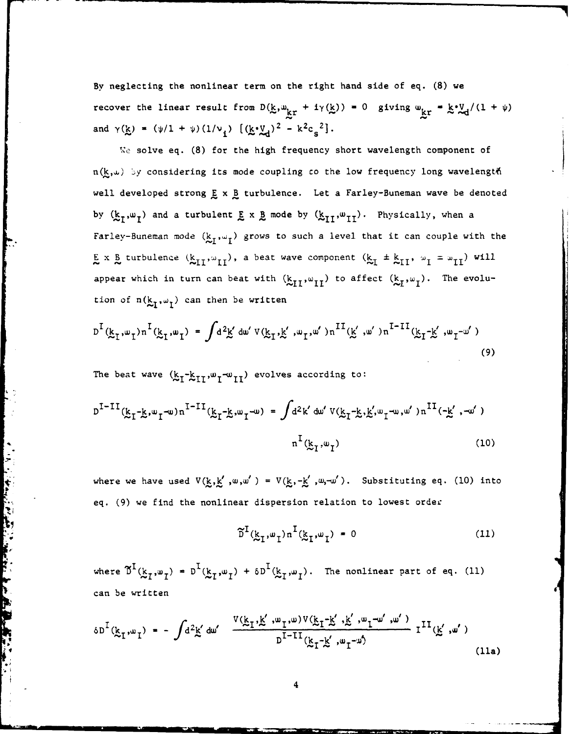By neglecting the nonlinear term on the right hand side of eq. (8) we recover the linear result from  $D(\underline{k}, \underline{w}_{\underline{k}r} + i\gamma(\underline{k})) = 0$  giving  $\underline{w}_{\underline{k}r} = \underline{k} \cdot \underline{V}_d/(1 + \psi)$ and  $\gamma(\mathbf{k}) = (\psi/1 + \psi)(1/\nu_i)$   $[(\mathbf{k} \cdot \mathbf{V_d})^2 - \kappa^2 c_s^2].$ 

We solve eq. (8) for the high frequency short wavelength component of n(k,w) by considering its mode coupling co the low frequency long wavelength well developed strong  $E \times B$  turbulence. Let a Farley-Buneman wave be denoted by  $(\mathbf{k}_I, \mathbf{w}_I)$  and a turbulent  $\mathbf{E} \times \mathbf{B}$  mode by  $(\mathbf{k}_{II}, \mathbf{w}_{II})$ . Physically, when a Farley-Buneman mode  $(\mathbf{k}_1, \mathbf{w}_1)$  grows to such a level that it can couple with the  $E \times B$  turbulence  $(k_{II}, \omega_{II})$ , a beat wave component  $(k_I \pm k_{II}, \omega_I \pm \omega_{II})$  will appear which in turn can beat with  $(k_{II}, \omega_{II})$  to affect  $(k_I, \omega_I)$ . The evolution of  $n(k_1, \omega_1)$  can then be written

$$
D^{I}(\underline{k}_{I},\omega_{I})n^{I}(\underline{k}_{I},\omega_{I}) = \int d^{2}\underline{k}' d\omega' V(\underline{k}_{I},\underline{k}',\omega_{I},\omega')n^{II}(\underline{k}',\omega')n^{I-II}(\underline{k}_{I}-\underline{k}',\omega_{I}-\omega')
$$
\n(9)

The beat wave  $(k_I - k_{II}, w_I - w_{II})$  evolves according to:

Control of the Control of the Control of the Control of the Control of the Control of the Control of the Control of the Control of the Control of the Control of the Control of the Control of the Control of the Control of t

$$
D^{I-II}(\underline{k}_{I} - \underline{k}, \omega_{I} - \omega) n^{I-II}(\underline{k}_{I} - \underline{k}, \omega_{I} - \omega) = \int d^{2}k' d\omega' V(\underline{k}_{I} - \underline{k}, \underline{k}', \omega_{I} - \omega, \omega') n^{II}(-\underline{k}', -\omega')
$$
\n
$$
n^{I}(\underline{k}_{I}, \omega_{I})
$$
\n(10)

where we have used  $V(k,k',\omega,\omega') = V(k,-k',\omega,-\omega')$ . Substituting eq. (10) into eq. (9) we find the nonlinear dispersion relation to lowest order

$$
\widetilde{D}^{I}(\underline{k}_{I}, \omega_{I}) n^{I}(\underline{k}_{I}, \omega_{I}) = 0
$$
 (11)

where  $\tilde{D}^{I}(k_{I}, \omega_{I})$  =  $D^{I}(k_{I}, \omega_{I})$  +  $\delta D^{I}(k_{I}, \omega_{I})$ . The nonlinear part of eq. (11) can be written

$$
\delta D^{I}(\underline{k}_{I},\omega_{I}) = -\int d^{2}\underline{k}' d\omega' \frac{\nabla(\underline{k}_{I},\underline{k}',\omega_{I},\omega) \nabla(\underline{k}_{I}-\underline{k}',\underline{k}',\omega_{I}-\omega',\omega')}{D^{I-II}(\underline{k}_{I}-\underline{k}',\omega_{I}-\omega)} I^{II}(\underline{k}',\omega')
$$
(11a)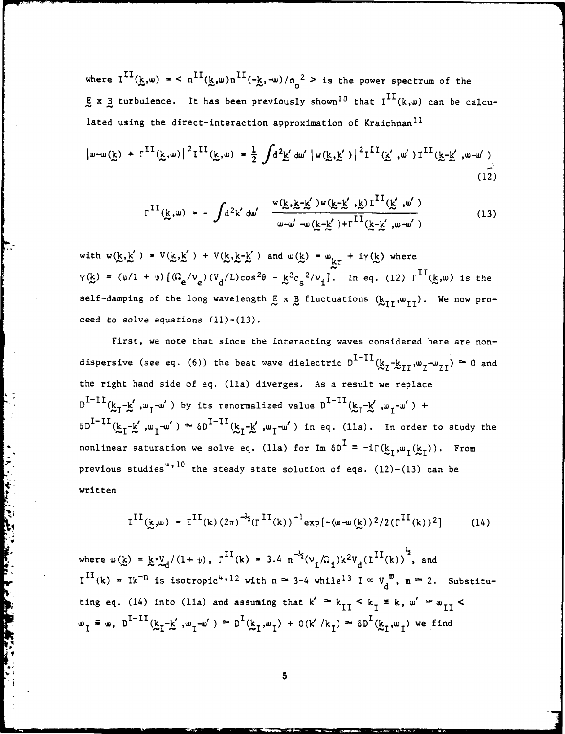where  $I^{II}(\underline{k},\omega) = \langle n^{II}(\underline{k},\omega) n^{II}(-\underline{k},-\omega)/n_0^2 > \text{ is the power spectrum of the}$ **E** x B turbulence. It has been previously shown I0 that I I(k,w) can be calculated using the direct-interaction approximation of Kraichnan<sup>11</sup> II II 1( **-i <sup>S</sup> <sup>d</sup>)li' k-k ' k'), 2-** (k

$$
|\omega - \omega(\underline{k}) + r^{II}(\underline{k}, \omega)|^{2} t^{II}(\underline{k}, \omega) = \frac{1}{2} \int d^{2} \underline{k}' d\omega' |w(\underline{k}, \underline{k}')|^{2} t^{II}(\underline{k}', \omega') t^{II}(\underline{k} - \underline{k}', \omega - \omega')
$$
\n(12)

$$
\Gamma^{II}(\mathbf{k},\omega) = -\int d^{2}\mathbf{k}' d\omega' \frac{\omega(\mathbf{k},\mathbf{k}-\mathbf{k}')\omega(\mathbf{k}-\mathbf{k}',\mathbf{k})\Gamma^{II}(\mathbf{k}',\omega')}{\omega-\omega'-\omega(\mathbf{k}-\mathbf{k}') + \Gamma^{II}(\mathbf{k}-\mathbf{k}',\omega-\omega')}
$$
(13)

with  $w(k, k') = V(k, k') + V(k, k-k')$  and  $w(k) = w_{kr} + i\gamma(k)$  where  $\gamma(k)$  = ( $\psi/1$  +  $\psi$ )[( $\Omega$ <sub>a</sub>/ $V$ <sub>a</sub>)( $V$ <sub>a</sub>/ $L$ )cos<sup>2</sup> $\theta$  - k<sup>2</sup>c<sub>a</sub><sup>2</sup>/ $\nu$ <sub>i</sub>]. In eq. (12)  $\Gamma^{11}(k,\omega)$  is the self-damping of the long wavelength  $E \times B$  fluctuations  $(k_{II}, \omega_{II})$ . We now proceed to solve equations (11)-(13).

First, we note that since the interacting waves considered here are nondispersive (see eq. (6)) the beat wave dielectric  $D^{I-II}(\frac{k}{\lambda}I^-\frac{k}{\lambda}II,\omega_I-\omega_{II}) \approx 0$  and the right hand side of eq. (11a) diverges. As a result we replace  $D^{I-II}$ ( $k_I - k'$ ,  $\omega_I - \omega'$ ) by its renormalized value  $D^{I-II}$ ( $k_I - k'$ ,  $\omega_I - \omega'$ ) +  $\delta D^{I-II} (k_1 - k', \omega_1 - \omega') \approx \delta D^{I-II} (k_1 - k', \omega_1 - \omega')$  in eq. (lla). In order to study the nonlinear saturation we solve eq. (lla) for Im  $\delta D^I \equiv -i\Gamma(\frac{k}{\lambda_1}, \omega_1(\frac{k}{\lambda_1}))$ . From previous studies<sup>4,10</sup> the steady state solution of eqs. (12)-(13) can be written

$$
I^{II}(\underline{k},\omega) = I^{II}(k) (2\pi)^{-\frac{1}{2}} (\Gamma^{II}(k))^{-1} exp[-(\omega-\omega(\underline{k}))^{2}/2(\Gamma^{II}(k))^{2}]
$$
 (14)

where  $w(\mathbf{k}) = k \cdot \mathbb{V}_d / (1 + \psi)$ ,  $\mathbf{r}^{\mathbf{II}}(\mathbf{k}) = 3.4 \mathbf{n}^{-\frac{1}{2}} (\mathbf{v}_i / \Omega_i) k^2 V_d (\mathbf{I}^{\mathbf{II}}(\mathbf{k}))^2$ , and  $I^{II}(k) = Ik^{-n}$  is isotropic<sup>4,12</sup> with n  $\approx$  3-4 while<sup>13</sup> I  $\propto$  V<sub>d</sub><sup>m</sup>, m  $\approx$  2. Substituting eq. (14) into (11a) and assuming that  $k' \approx k_{II} < k_I \equiv k$ , w'  $\approx w_{II} <$  $\omega_{\tau}$   $\equiv \omega$ ,  $D^{I-II}(\underline{k}_{\tau}-\underline{k}', \omega_{\tau}-\omega') \simeq D^{I}(\underline{k}_{\tau}, \omega_{I}) + O(k'/k_{I}) \simeq \delta D^{I}(\underline{k}_{I}, \omega_{I})$  we find

Program Control

**A**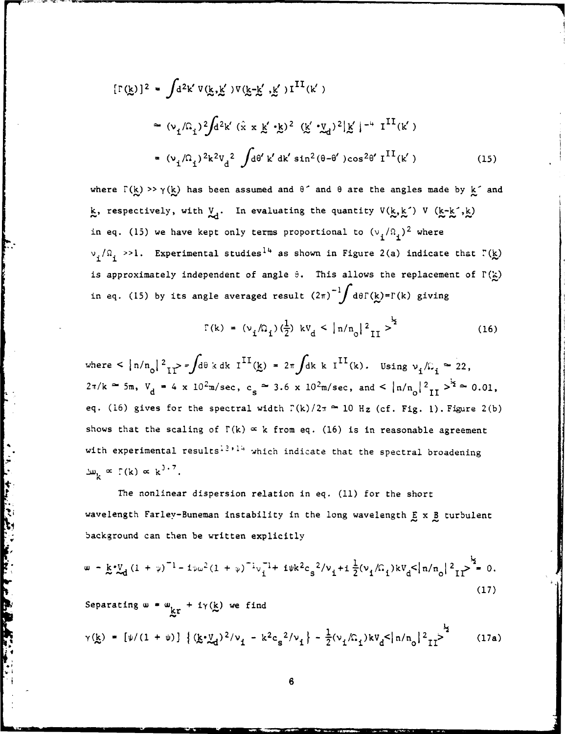$$
[\Gamma(\underline{k})]^2 = \int d^2k' \, \mathbf{V}(\underline{k}, \underline{k}') \, \mathbf{V}(\underline{k} - \underline{k}', \underline{k}') \, \mathbf{I}^{II}(\mathbf{k}')
$$
\n
$$
\approx (\mathbf{V}_1/\Omega_1)^2 \int d^2k' \, (\hat{\mathbf{x}} \times \underline{k}' \cdot \underline{k})^2 \, (\underline{k}' \cdot \underline{V}_d)^2 |\underline{k}'|^{-4} \, \mathbf{I}^{II}(\mathbf{k}')
$$
\n
$$
\approx (\mathbf{V}_1/\Omega_1)^2 k^2 \mathbf{V}_d^2 \int d\theta' \, \mathbf{k}' \, d\mathbf{k}' \sin^2(\theta - \theta') \cos^2\theta' \, \mathbf{I}^{II}(\mathbf{k}')
$$
\n(15)

where  $\Gamma(k) \gg \gamma(k)$  has been assumed and  $\theta$  and  $\theta$  are the angles made by  $k$  and k, respectively, with  $V_d$ . In evaluating the quantity  $V(k, k')$  V  $(k-k', k)$ in eq. (15) we have kept only terms proportional to  $({\sf v}_{\bf i}'\!\!\upharpoonright_{\bf i}\!{\sf l})^2$  where  $v_i/\Omega_i$  >>1. Experimental studies<sup>14</sup> as shown in Figure 2(a) indicate that  $\Gamma(k)$ is approximately independent of angle  $\theta$ . This allows the replacement of  $\Gamma(\frac{k}{n})$ in eq. (15) by its angle averaged result (2 $\pi$ )  $\check{\phantom{\phi}}$  d $\theta$   $\Gamma$ (k)= $\Gamma$ (k) giving 1 <sup>I</sup>

$$
\Gamma(k) = (v_{\mathbf{i}} / \Omega_{\mathbf{i}}) (\frac{1}{2}) \ k v_{\mathbf{d}} < |n/n_{\mathbf{0}}|^2 \ln \frac{1}{2}
$$
 (16)

where  $\langle |n/n_0|^2 \right]_1^2$  =  $\int d\theta$  kdk  $I^{\text{II}}(k) = 2\pi \int dk k I^{\text{II}}(k)$ . Using  $v_i/k_i \approx 22$ ,  $\approx$  5m,  $V_A$  = 4 x 10<sup>2</sup>m/sec, c<sub>c</sub>  $\approx$  3.6 x 10<sup>2</sup>m/sec, and  $\lt |\ln/n_a|^2$ <sub>TT</sub>  $>^2 \approx 0.01$ , eq. (16) gives for the spectral width  $\Gamma(k)/2\pi \cong 10$  Hz (cf. Fig. 1). Figure 2(b) shows that the scaling of  $\Gamma(k) \propto k$  from eq. (16) is in reasonable agreement with experimental results<sup>13,14</sup> which indicate that the spectral broadening  $k \propto \Gamma(k) \propto k^{3}$ 

The nonlinear dispersion relation in eq. **(11)** for the short wavelength Farley-Buneman instability in the long wavelength E x B turbulent background can then be written explicitly

A . I. Way, P. A. S. Marian

$$
\omega - k \chi_d (1 + \psi)^{-1} - i \psi \omega^2 (1 + \psi)^{-1} \psi_1^{-1} + i \psi k^2 c_s^2 / \psi_1 + i \frac{1}{2} (\psi_1 / \Omega_1) k V_d < |n/n_o|^2 I \right) = 0.
$$
\n(17)

Separating  $\omega = \omega_{\text{kr}} + i\gamma(\textbf{k})$  we find  $\gamma(k) = [\psi/(1 + \psi)] \{(\underline{k} \cdot \underline{V_d})^2/\nu_1 - k^2 c_s^2/\nu_1\} - \frac{1}{2}(\nu_i/\Omega_i)kV_d < |n/n_0|^2_{II}$ <sup>1</sup> (17a)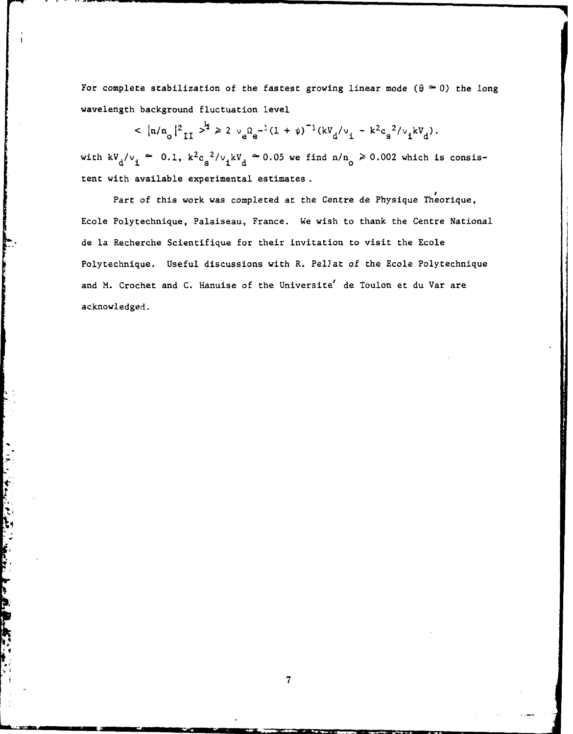For complete stabilization of the fastest growing linear mode ( $\theta \approx 0$ ) the long wavelength background fluctuation level

 $<\big|n/n_0\big|^2_{\rm II}\big|^{\frac{1}{2}}\geq 2\big|\nu_{\rm e}^{\Omega} {\rm e}^{-1}(1+\psi)^{-1}({\bf k} V_{\rm d}/\nu_{\rm i}\big|-{\bf k}^2{\rm c}_{\rm s}^{\;\;2}/\nu_{\rm i}{\bf k} V_{\rm d})\,.$ 

with kV<sub>1</sub>/v<sub>1</sub>  $\approx$  0.1, k<sup>2</sup>c<sub>1</sub><sup>2</sup>/v<sub>1</sub>kV,  $\approx$  0.05 we find n/n<sub>1</sub>  $\geq$  0.002 which is consistent with available experimental estimates.

**I** Part of this work was completed at the Centre de Physique Theorique, Ecole Polytechnique, Palaiseau, France. We wish to thank the Centre National de la Recherche Scientifique for their invitation to visit the Ecole Polytechnique. Useful discussions with R. Pellat of the Ecole Polytechnique and M. Crochet and C. Hanuise of the Universite' de Toulon et du Var are acknowledged.

 $\frac{1}{2}$ 

**CARL CARL CARLS** 

Control Control Control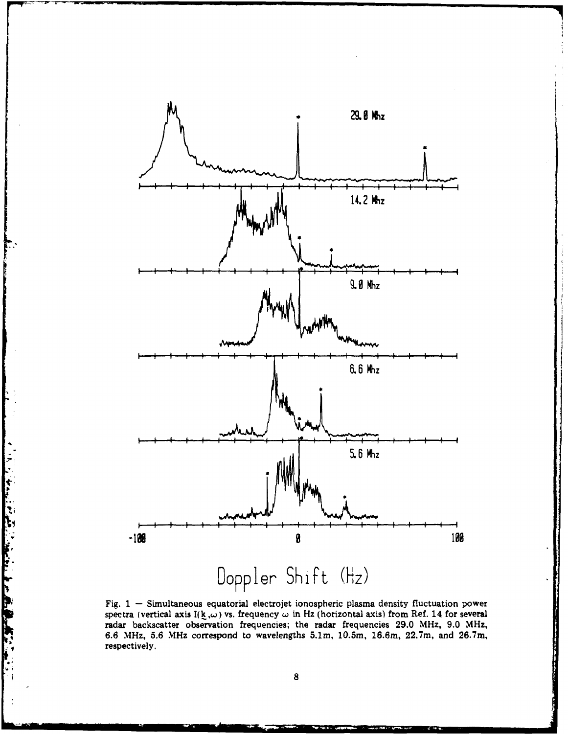

Doppler Shift (Hz)

The first property of the state of the state of the state of the state of the state of the state of the state of the state of the state of the state of the state of the state of the state of the state of the state of the s

Fig. **1 -** Simultaneous equatorial electrojet ionospheric plasma density fluctuation power spectra (vertical axis  $I(\underline{k},\omega)$  vs. frequency  $\omega$  in Hz (horizontal axis) from Ref. 14 for several radar backscatter observation frequencies; the radar frequencies **29.0** 1MHz, **9.0** NMHz, **6.6** MHz, **5.6** MHz correspond to wavelengths 5.1m, 10.5m, 16.6m, 22.7m, and 26.7m, respectively.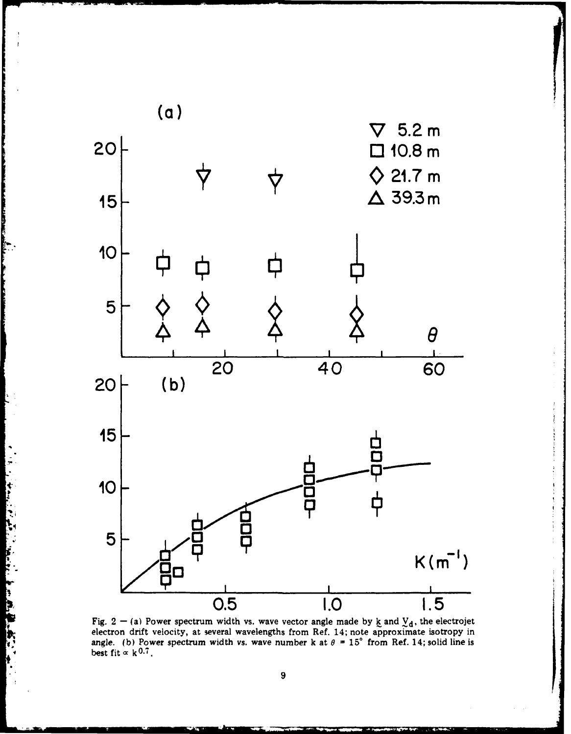

 $\ddot{\bullet}$ 

 $\ddot{\cdot}$ 

j,

Fig. 2 – (a) Power spectrum width vs. wave vector angle made by  $k$  and  $\mathcal{Y}_d$ , the electrojet electron drift velocity, at several wavelengths from Ref. 14; note approximate isotropy in angle. (b) Power spectrum width vs. wave number k at  $\theta = 15^{\circ}$  from Ref. 14; solid line is best fit  $\propto k^{0.7}$ .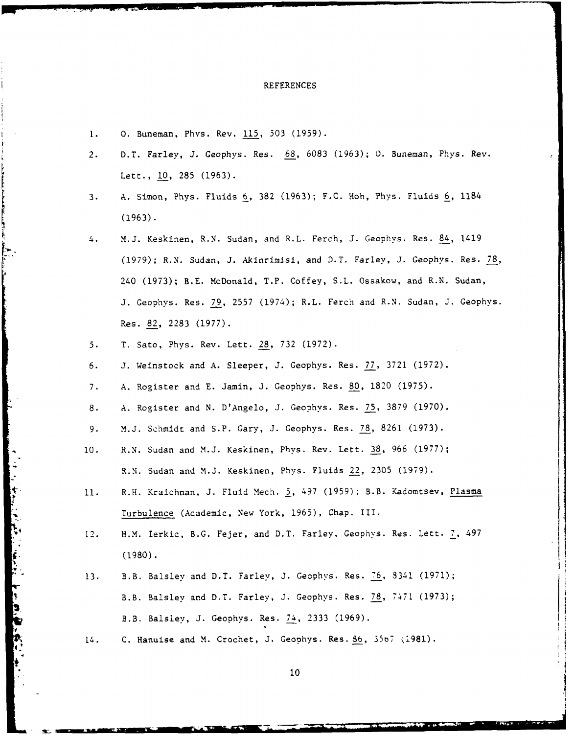## REFERENCES

| 1. |  | 0. Buneman, Phys. Rev. 115, 503 (1959). |  |  |  |  |  |
|----|--|-----------------------------------------|--|--|--|--|--|
|----|--|-----------------------------------------|--|--|--|--|--|

- 2. D.T. Farley, J. Geophys. Res. 68, 6083 (1963); **0.** Buneman, Phys. Rev. Lett., **10,** 285 (1963).
- 3. A. Simon, Phys. Fluids 6, 382 (1963); F.C. Hoh, Phys. Fluids 6, 1184 (1963).
- 4. M.J. Keskinen, R.N. Sudan, and R.L. Ferch, J. Geophys. Res. 84, 1419 (1979); R.N. Sudan, J. Akinrimisi, and D.T. Farley, J. Geophys. Res. 78, 240 (1973); B.E. McDonald, T.P. Coffey, S.L. Ossakow, and R.N. Sudan, **J.** Geophys. Res. 79, 2557 (1974); R.L. Ferch and R.N. Sudan, J. Geophys. Res. 82, 2283 (1977).
- 5. T. Sato, Phys. Rev. Lett. 28, 732 (1972).
- **6. J.** Weinstock and A. Sleeper, J. Geophys. Res. 77, 3721 (1972).
- **7.** A. Rogister and **E.** Jamin, **J.** Geophys. Res. **80, 1820** (1975).
- **8.** A. Rogister and **N.** D'Angelo, J. Geophys. Res. **75, 3879** (1970).
- 9. M.J. Schmidt and S.P. Gary, J. Geophys. Res. 78, 8261 (1973).
- **10.** R.N. Sudan and M.J. Keskinen, Phys. Rev. Lett. 38, 966 (1977); R.N. Sudan and M.J. Keskinen, Phys. Fluids 22, 2305 (1979).
- **11.** R.H. Kraichnan, **J.** Fluid Mech. **5,** 497 (1959); B.B. Kadomtsev, Plasma 1Turbulence (Academic, New York, 1965), Chap. III.
- 12. H.M. Ierkic, B.G. Fejer, and D.T. Farley, Geophys. Res. Lett. 7, 497 (1980).
- 13. B.B. Balsley and D.T. Farley, **J.** Geophys. Res. 76, 3341 (1971); B.B. Balslev and D.T. Farley, **J.** Geophys. Res. 78, 7471 (1973); B.B. Balslev, **J.** Geophys. Res. 74, **2333 (1969).**
- 14. C. Hanuise and M. Crochet, **J.** Geophys. Res. **86,** 35t7 1981).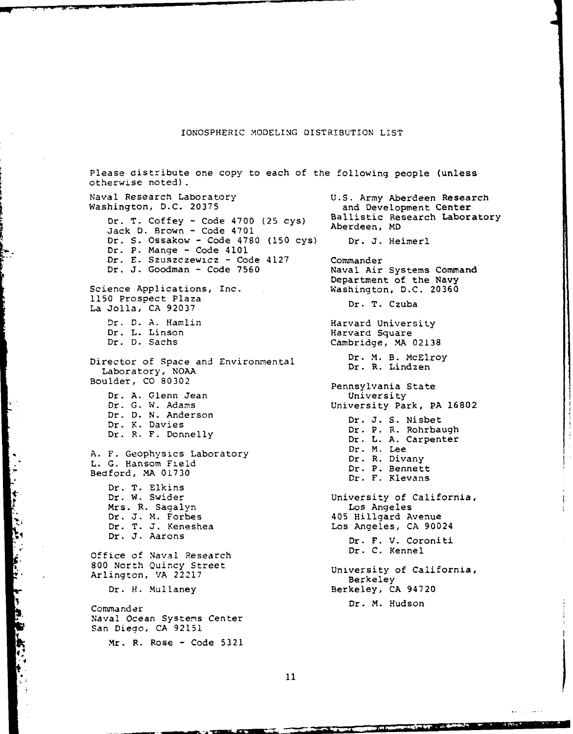## IONOSPHERIC MODELING DISTRIBUTION LIST

Please distribute one copy to each of the following people (unless otherwise noted). Naval Research Laboratory **East Communist Communist Communist Communist Communist Communist Communist Communist Communist Communist Communist Communist Research** Washington, D.C. 20375 and Development Center<br>
Dr. m. Coffey - Code 4700 (25 cys) Ballistic Research Laboratory Dr. T. Coffey - Code 4700 (25 cys) Ballistic Res Jack D. Brown - Code 4701 Dr. S. Ossakow - Code 4780 (150 cys) Dr. J. Heimerl Dr. P. Mange - Code 4101 Dr. E. Szuszczewicz - Code 4127 Commander Naval Air Systems Command Department of the Navy Science Applications, Inc. Washington, D.C. 20360 1150 Prospect Plaza<br>In Jolla Co. 82027 La Jolla, CA 92037 Dr. D. A. Hamlin **Harvard University**<br>
Dr. L. Linson **Harvard Square** Dr. L. Linson Harvard Square Cambridge, MA 02138 Director of Space and Environmental Dr. M. B. McElroy Laboratory, NOAA Boulder, CO 80302 Pennsylvania State Dr. A. Glenn Jean (University Dr. G. W. Adams) University Park, PA 16802 Dr. D. N. Anderson Dr. J. S. Nisbet Dr. K. Davies Dr. R. Davies<br>Dr. R. F. Donnelly Dr. D. R. Rohrbaugh<br>Dr. L. A. Carpenter A. F. Geophysics Laboratory Dr. M. Lee<br>
Dr. R. Divany L. G. Hansom Field Dr. R. Divany<br>Dr. P. Bennett Bedford, MA 01730 Dr. P. Bennett Dr. T. Elkins<br>Dr. W. Swider University of California,<br>Los Angeles Mrs. R. Sagalyn<br>Dr. J. M. Forbes 405 Hillgard Avenue Dr. T. J. Keneshea Los Angeles, CA 90024 Dr. J. Aarons Dr. F. V. Coroniti Office of Naval Research Dr. C. Kennel 800 North Quincy Street University of California, Arlington, VA 22217 Berkeley Dr. H. Mullaney Berkeley, CA 94720 Commander Dr. M. Hudson Naval Ocean Systems Center San Diego, CA 92151 Mr. R. Rose - Code 5321

المتحدث

*CONTRACTOR* 

**Control of the Control of Control Control Control Control Control Control Control Control Control Control Control**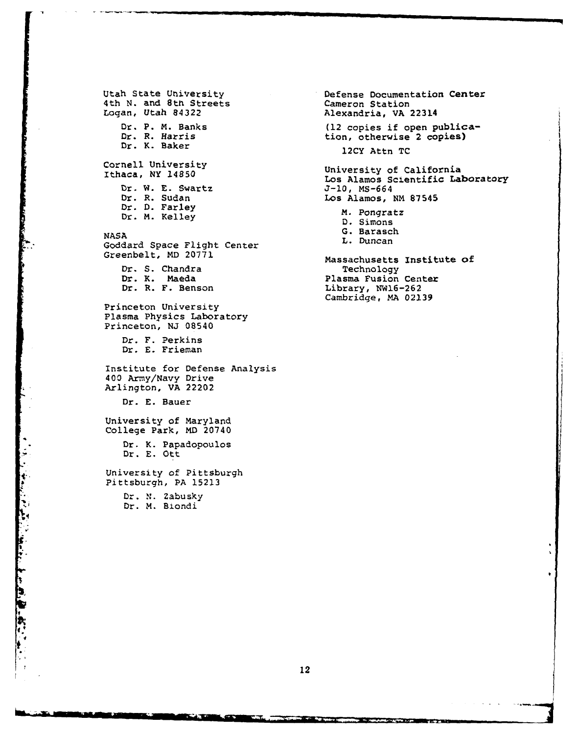Utah State University **Defense Documentation Center**<br>
4th N. and 8th Streets **Cameron** Station 4th N. and 8th Streets<br>Logan, Utah 84322 Dr. K. Baker 12CY Attn TC Cornell University<br>Ithaca, NY 14850 Dr. W. E. Swartz J-10, MS-664<br>Dr. R. Sudan Los Alamos, 1 Dr. D. Farley M. Pongratz<br>Dr. M. Kelley M. Simons NASA Goddard Space Flight Center L. Duncan Greenbelt, MD 20771 Massachusetts Institute of Dr. S. Chandra Technology Dr. K. Maeda Plasma Fusion Center Princeton University Plasma Physics Laboratory Princeton, NJ 08540 Dr. F. Perkins Dr. E. Frieman Institute for Defense Analysis 400 Army/Navy Drive Arlington, VA 22202 Dr. **E.** Bauer University of Maryland College Park, MD 20740 Dr. K. Papadopoulos Dr. E. Ott University of Pittsburgh Pittsburgh, PA 15213 Dr. N. Zabusky Dr. M. Biondi

*t* the control of the control of the control of the control of the control of the control of the control of the control of the control of the control of the control of the control of the control of the control of the co

Alexandria, VA 22314 Dr. P. M. Banks (12 copies if open publica-<br>Dr. R. Harris (10 tion, otherwise 2 copies) tion, otherwise 2 copies) University of California<br>Los Alamos Scientific Laboratory Los Alamos, NM 87545 D. Simons<br>G. Barasch Library, NW16-262 Cambridge, MA 02139

**The Second**